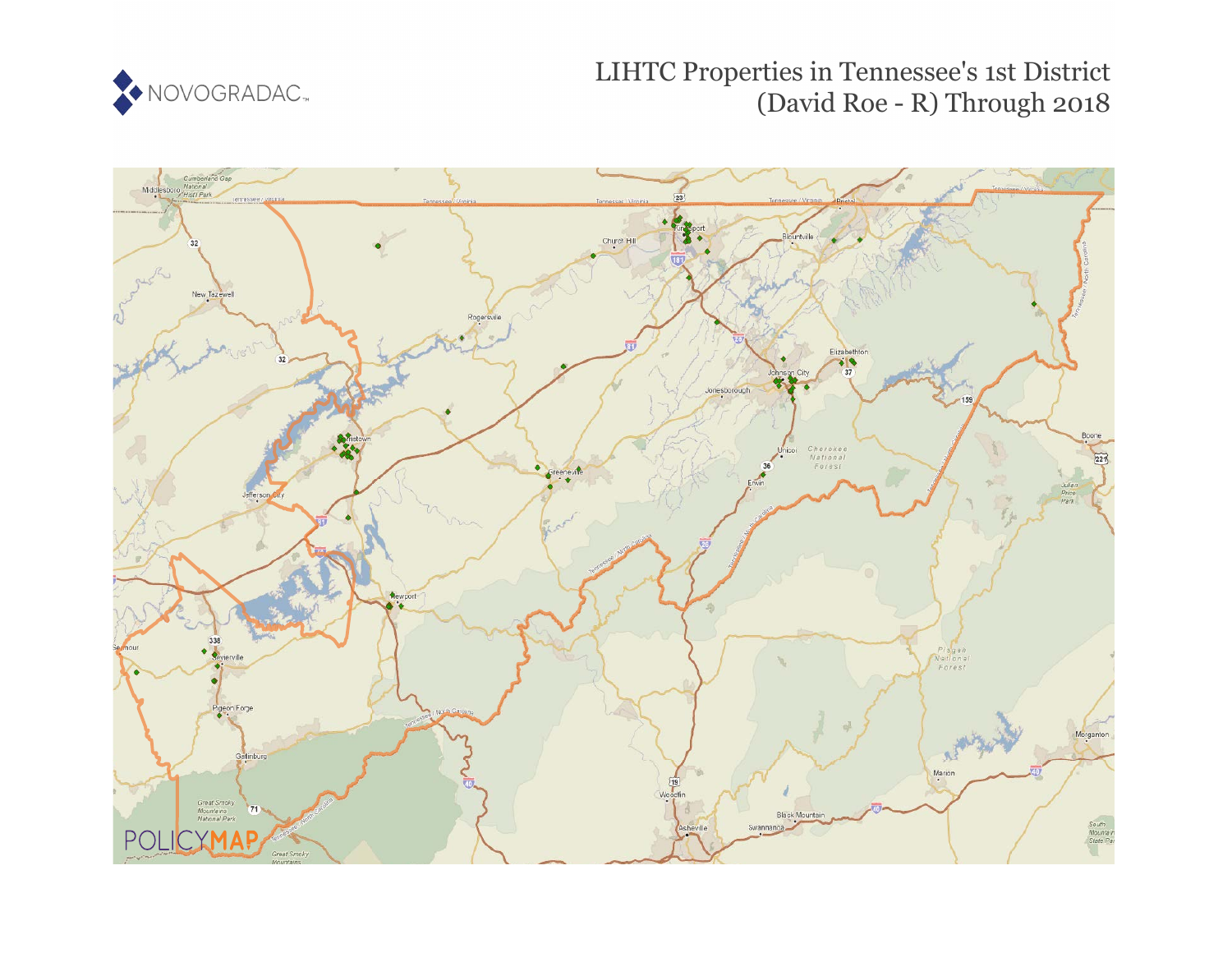

LIHTC Properties in Tennessee's 1st District (David Roe - R) Through 2018

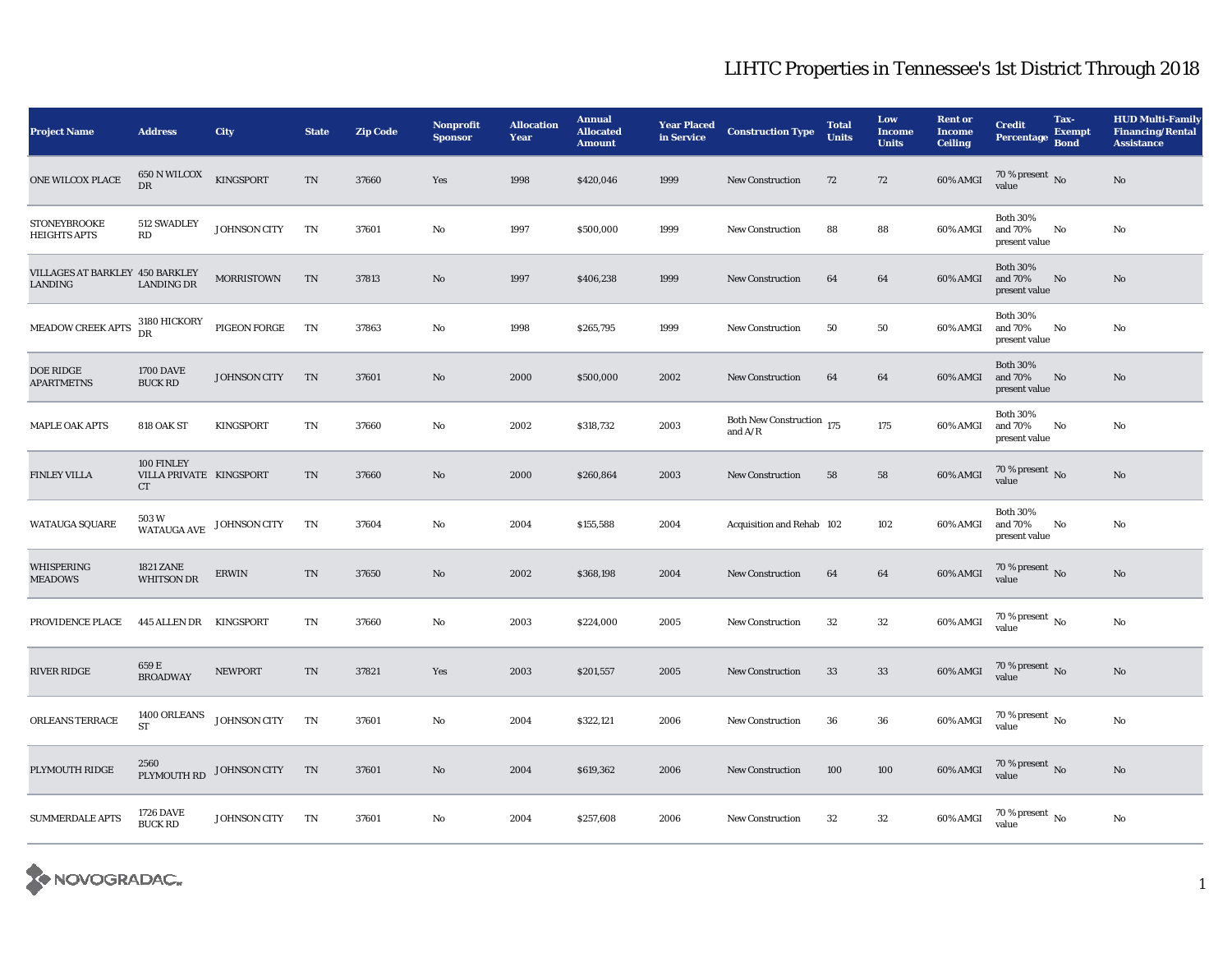| <b>Project Name</b>                        | <b>Address</b>                                     | <b>City</b>              | <b>State</b> | <b>Zip Code</b> | Nonprofit<br><b>Sponsor</b> | <b>Allocation</b><br>Year | <b>Annual</b><br><b>Allocated</b><br><b>Amount</b> | <b>Year Placed<br/>in Service</b> | <b>Construction Type</b>               | <b>Total</b><br><b>Units</b> | Low<br><b>Income</b><br><b>Units</b> | <b>Rent or</b><br><b>Income</b><br><b>Ceiling</b> | <b>Credit</b><br><b>Percentage</b>          | Tax-<br><b>Exempt</b><br><b>Bond</b> | <b>HUD Multi-Family</b><br><b>Financing/Rental</b><br><b>Assistance</b> |
|--------------------------------------------|----------------------------------------------------|--------------------------|--------------|-----------------|-----------------------------|---------------------------|----------------------------------------------------|-----------------------------------|----------------------------------------|------------------------------|--------------------------------------|---------------------------------------------------|---------------------------------------------|--------------------------------------|-------------------------------------------------------------------------|
| ONE WILCOX PLACE                           | $650$ N WILCOX<br>DR                               | KINGSPORT                | $\rm TN$     | 37660           | Yes                         | 1998                      | \$420,046                                          | 1999                              | New Construction                       | 72                           | 72                                   | $60\%$ AMGI                                       | $70\,\%$ present $\,$ No value              |                                      | $\rm No$                                                                |
| <b>STONEYBROOKE</b><br><b>HEIGHTS APTS</b> | 512 SWADLEY<br>RD                                  | JOHNSON CITY             | TN           | 37601           | No                          | 1997                      | \$500,000                                          | 1999                              | <b>New Construction</b>                | 88                           | 88                                   | 60% AMGI                                          | <b>Both 30%</b><br>and 70%<br>present value | No                                   | $\rm No$                                                                |
| VILLAGES AT BARKLEY 450 BARKLEY<br>LANDING | <b>LANDING DR</b>                                  | <b>MORRISTOWN</b>        | TN           | 37813           | No                          | 1997                      | \$406,238                                          | 1999                              | <b>New Construction</b>                | 64                           | 64                                   | 60% AMGI                                          | <b>Both 30%</b><br>and 70%<br>present value | No                                   | $\mathbf{N}\mathbf{o}$                                                  |
| MEADOW CREEK APTS                          | 3180 HICKORY<br>DR                                 | PIGEON FORGE             | TN           | 37863           | No                          | 1998                      | \$265,795                                          | 1999                              | <b>New Construction</b>                | 50                           | 50                                   | 60% AMGI                                          | <b>Both 30%</b><br>and 70%<br>present value | No                                   | $\rm No$                                                                |
| DOE RIDGE<br><b>APARTMETNS</b>             | <b>1700 DAVE</b><br><b>BUCK RD</b>                 | JOHNSON CITY             | TN           | 37601           | No                          | 2000                      | \$500,000                                          | 2002                              | <b>New Construction</b>                | 64                           | 64                                   | 60% AMGI                                          | <b>Both 30%</b><br>and 70%<br>present value | No                                   | $\mathbf{N}\mathbf{o}$                                                  |
| <b>MAPLE OAK APTS</b>                      | 818 OAK ST                                         | <b>KINGSPORT</b>         | TN           | 37660           | No                          | 2002                      | \$318,732                                          | 2003                              | Both New Construction 175<br>and $A/R$ |                              | 175                                  | 60% AMGI                                          | <b>Both 30%</b><br>and 70%<br>present value | No                                   | $\rm No$                                                                |
| <b>FINLEY VILLA</b>                        | 100 FINLEY<br>VILLA PRIVATE KINGSPORT<br><b>CT</b> |                          | TN           | 37660           | $\rm No$                    | 2000                      | \$260,864                                          | 2003                              | <b>New Construction</b>                | 58                           | 58                                   | $60\%$ AMGI                                       | $70\,\%$ present $\,$ No value              |                                      | $\rm No$                                                                |
| WATAUGA SQUARE                             | 503 W                                              | WATAUGA AVE JOHNSON CITY | TN           | 37604           | $\rm No$                    | 2004                      | \$155,588                                          | 2004                              | Acquisition and Rehab 102              |                              | 102                                  | 60% AMGI                                          | <b>Both 30%</b><br>and 70%<br>present value | No                                   | $\rm No$                                                                |
| <b>WHISPERING</b><br><b>MEADOWS</b>        | <b>1821 ZANE</b><br><b>WHITSON DR</b>              | <b>ERWIN</b>             | TN           | 37650           | No                          | 2002                      | \$368,198                                          | 2004                              | <b>New Construction</b>                | 64                           | 64                                   | 60% AMGI                                          | $70\,\%$ present $\,$ No value              |                                      | $\mathbf{N}\mathbf{o}$                                                  |
| PROVIDENCE PLACE                           | 445 ALLEN DR KINGSPORT                             |                          | TN           | 37660           | No                          | 2003                      | \$224,000                                          | 2005                              | <b>New Construction</b>                | $32\,$                       | $32\,$                               | 60% AMGI                                          | 70 % present $\,$ No $\,$<br>value          |                                      | $\rm No$                                                                |
| RIVER RIDGE                                | 659 E<br><b>BROADWAY</b>                           | <b>NEWPORT</b>           | TN           | 37821           | Yes                         | 2003                      | \$201,557                                          | 2005                              | <b>New Construction</b>                | 33                           | 33                                   | 60% AMGI                                          | $70\,\%$ present $\,$ No value              |                                      | $\mathbf{N}\mathbf{o}$                                                  |
| ORLEANS TERRACE                            | 1400 ORLEANS<br><b>ST</b>                          | JOHNSON CITY             | TN           | 37601           | No                          | 2004                      | \$322,121                                          | 2006                              | <b>New Construction</b>                | 36                           | 36                                   | 60% AMGI                                          | 70 % present $\,$ No $\,$<br>value          |                                      | $\rm No$                                                                |
| PLYMOUTH RIDGE                             |                                                    | PLYMOUTH RD JOHNSON CITY | TN           | 37601           | No                          | 2004                      | \$619,362                                          | 2006                              | <b>New Construction</b>                | 100                          | 100                                  | <b>60% AMGI</b>                                   | $70\,\%$ present $\,$ No value              |                                      | No                                                                      |
| <b>SUMMERDALE APTS</b>                     | <b>1726 DAVE</b><br><b>BUCK RD</b>                 | JOHNSON CITY             | TN           | 37601           | No                          | 2004                      | \$257,608                                          | 2006                              | <b>New Construction</b>                | 32                           | $32\,$                               | 60% AMGI                                          | $70$ % present $\,$ No $\,$<br>value        |                                      | $\rm No$                                                                |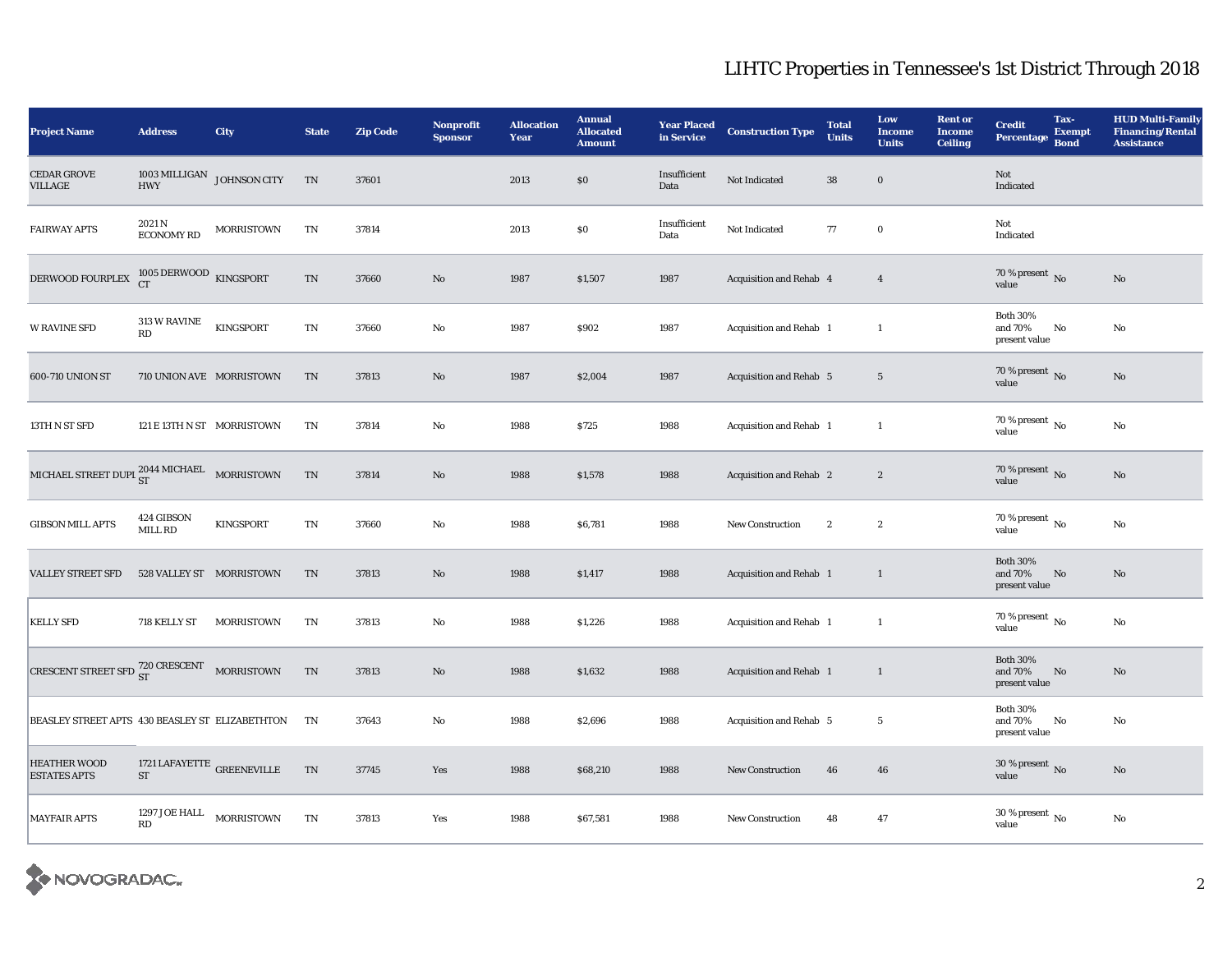| <b>Project Name</b>                                       | <b>Address</b>                                       | City              | <b>State</b>               | <b>Zip Code</b> | Nonprofit<br><b>Sponsor</b> | <b>Allocation</b><br>Year | <b>Annual</b><br><b>Allocated</b><br><b>Amount</b> | <b>Year Placed</b><br>in Service | <b>Construction Type</b> | <b>Total</b><br><b>Units</b> | Low<br><b>Income</b><br><b>Units</b> | <b>Rent or</b><br><b>Income</b><br><b>Ceiling</b> | <b>Credit</b><br><b>Percentage</b>          | Tax-<br><b>Exempt</b><br><b>Bond</b> | <b>HUD Multi-Family</b><br><b>Financing/Rental</b><br><b>Assistance</b> |
|-----------------------------------------------------------|------------------------------------------------------|-------------------|----------------------------|-----------------|-----------------------------|---------------------------|----------------------------------------------------|----------------------------------|--------------------------|------------------------------|--------------------------------------|---------------------------------------------------|---------------------------------------------|--------------------------------------|-------------------------------------------------------------------------|
| <b>CEDAR GROVE</b><br>VILLAGE                             | $1003\,\mathrm{MILLIGAN}$ JOHNSON CITY<br><b>HWY</b> |                   | TN                         | 37601           |                             | 2013                      | \$0                                                | Insufficient<br>Data             | Not Indicated            | ${\bf 38}$                   | $\mathbf 0$                          |                                                   | Not<br>Indicated                            |                                      |                                                                         |
| <b>FAIRWAY APTS</b>                                       | 2021 N<br>$\rm ECONOMY$ RD                           | <b>MORRISTOWN</b> | TN                         | 37814           |                             | 2013                      | $\$0$                                              | Insufficient<br>Data             | Not Indicated            | $77\,$                       | $\mathbf 0$                          |                                                   | Not<br>Indicated                            |                                      |                                                                         |
| DERWOOD FOURPLEX                                          | $1005$ DERWOOD $$\,{\rm KINGSPORT}$$ CT              |                   | $\mathop{\rm TN}\nolimits$ | 37660           | $\rm No$                    | 1987                      | \$1,507                                            | 1987                             | Acquisition and Rehab 4  |                              | $\overline{4}$                       |                                                   | 70 % present $\overline{N}$ 0<br>value      |                                      | No                                                                      |
| <b>W RAVINE SFD</b>                                       | <b>313 W RAVINE</b><br>RD                            | KINGSPORT         | $\rm TN$                   | 37660           | $\rm No$                    | 1987                      | \$902                                              | 1987                             | Acquisition and Rehab 1  |                              | $\overline{1}$                       |                                                   | <b>Both 30%</b><br>and 70%<br>present value | No                                   | No                                                                      |
| 600-710 UNION ST                                          | 710 UNION AVE MORRISTOWN                             |                   | $\mathcal{T}\mathcal{N}$   | 37813           | $\rm\thinspace No$          | 1987                      | \$2,004                                            | 1987                             | Acquisition and Rehab 5  |                              | $\,$ 5 $\,$                          |                                                   | 70 % present $\,$ No $\,$<br>value          |                                      | No                                                                      |
| 13TH N ST SFD                                             | 121 E 13TH N ST MORRISTOWN                           |                   | TN                         | 37814           | $\rm No$                    | 1988                      | \$725                                              | 1988                             | Acquisition and Rehab 1  |                              | $\mathbf{1}$                         |                                                   | $70\%$ present $\overline{N_0}$<br>value    |                                      | $\mathbf {No}$                                                          |
| MICHAEL STREET DUPL $_{\rm ST}^{2044}$ MICHAEL MORRISTOWN |                                                      |                   | $\rm TN$                   | 37814           | $\rm\thinspace No$          | 1988                      | \$1,578                                            | 1988                             | Acquisition and Rehab 2  |                              | $\boldsymbol{2}$                     |                                                   | 70 % present $\,$ No $\,$<br>value          |                                      | No                                                                      |
| <b>GIBSON MILL APTS</b>                                   | 424 GIBSON<br>MILL RD                                | <b>KINGSPORT</b>  | TN                         | 37660           | No                          | 1988                      | \$6,781                                            | 1988                             | <b>New Construction</b>  | $\boldsymbol{2}$             | $\boldsymbol{2}$                     |                                                   | $70\%$ present $\overline{N_0}$<br>value    |                                      | No                                                                      |
| <b>VALLEY STREET SFD</b>                                  | 528 VALLEY ST MORRISTOWN                             |                   | TN                         | 37813           | $\mathbf{N}\mathbf{o}$      | 1988                      | \$1,417                                            | 1988                             | Acquisition and Rehab 1  |                              | $\mathbf{1}$                         |                                                   | <b>Both 30%</b><br>and 70%<br>present value | No                                   | No                                                                      |
| <b>KELLY SFD</b>                                          | 718 KELLY ST                                         | <b>MORRISTOWN</b> | TN                         | 37813           | $\rm\thinspace No$          | 1988                      | \$1,226                                            | 1988                             | Acquisition and Rehab 1  |                              | $\overline{1}$                       |                                                   | 70 % present $\,$ No $\,$<br>value          |                                      | No                                                                      |
| CRESCENT STREET SFD $^{720}_{ST}$ CRESCENT MORRISTOWN     |                                                      |                   | TN                         | 37813           | $\mathbf{N}\mathbf{o}$      | 1988                      | \$1,632                                            | 1988                             | Acquisition and Rehab 1  |                              | $\mathbf{1}$                         |                                                   | <b>Both 30%</b><br>and 70%<br>present value | No                                   | No                                                                      |
| BEASLEY STREET APTS 430 BEASLEY ST ELIZABETHTON           |                                                      |                   | <b>TN</b>                  | 37643           | No                          | 1988                      | \$2,696                                            | 1988                             | Acquisition and Rehab 5  |                              | $\overline{5}$                       |                                                   | <b>Both 30%</b><br>and 70%<br>present value | No                                   | No                                                                      |
| <b>HEATHER WOOD</b><br><b>ESTATES APTS</b>                | 1721 LAFAYETTE $_{\rm GREENEVILLE}$<br><b>ST</b>     |                   | TN                         | 37745           | Yes                         | 1988                      | \$68,210                                           | 1988                             | <b>New Construction</b>  | 46                           | 46                                   |                                                   | 30 % present $\overline{N_0}$<br>value      |                                      | $\mathbf{N}\mathbf{o}$                                                  |
| <b>MAYFAIR APTS</b>                                       | 1297 JOE HALL MORRISTOWN<br>RD                       |                   | TN                         | 37813           | Yes                         | 1988                      | \$67,581                                           | 1988                             | <b>New Construction</b>  | 48                           | 47                                   |                                                   | 30 % present $\,$ No $\,$<br>value          |                                      | No                                                                      |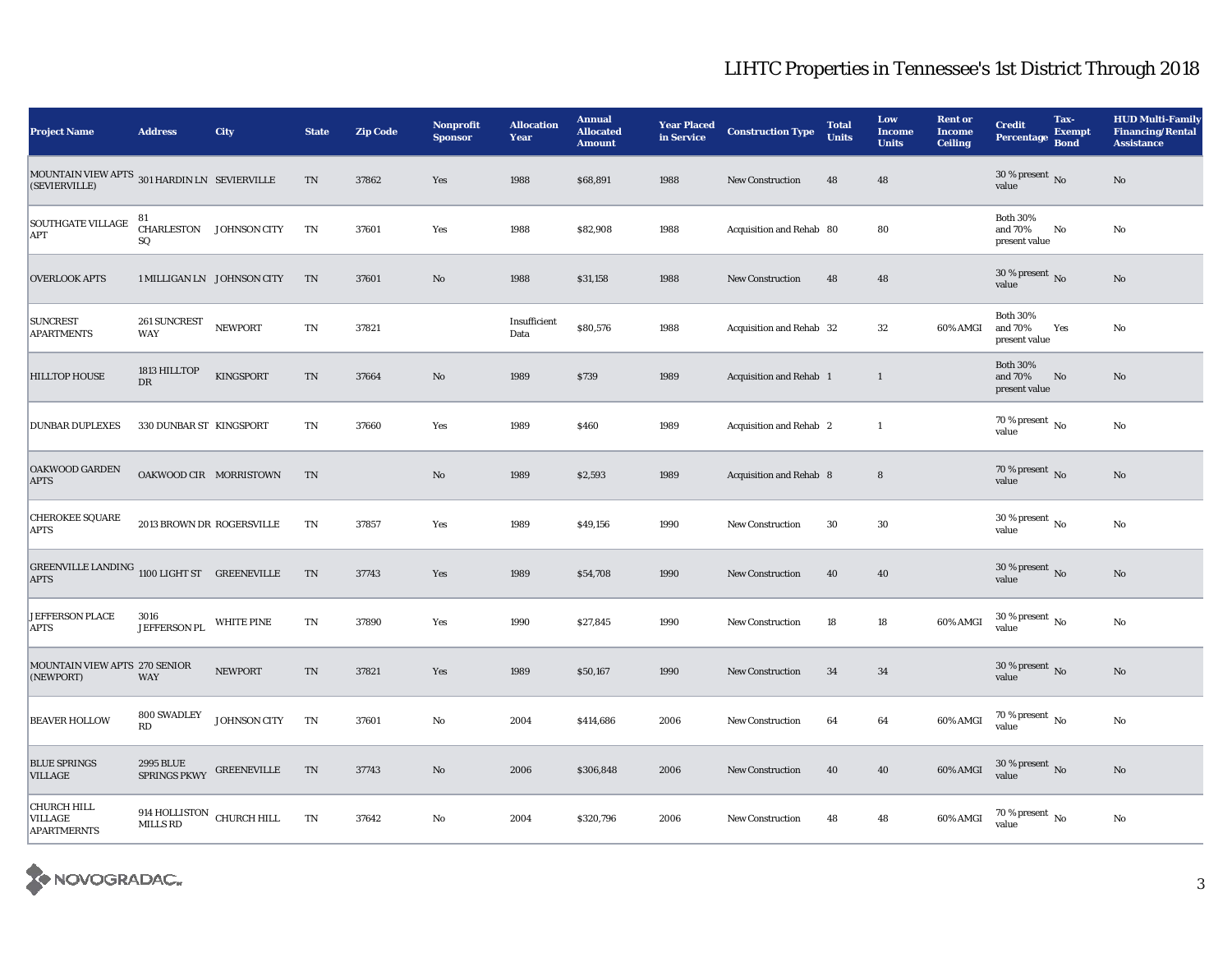| <b>Project Name</b>                                           | <b>Address</b>                               | <b>City</b>        | <b>State</b>             | <b>Zip Code</b> | <b>Nonprofit</b><br><b>Sponsor</b> | <b>Allocation</b><br>Year | <b>Annual</b><br><b>Allocated</b><br><b>Amount</b> | <b>Year Placed</b><br>in Service | <b>Construction Type</b>       | <b>Total</b><br><b>Units</b> | Low<br><b>Income</b><br><b>Units</b> | <b>Rent or</b><br><b>Income</b><br><b>Ceiling</b> | <b>Credit</b><br>Percentage Bond            | Tax-<br><b>Exempt</b> | <b>HUD Multi-Family</b><br><b>Financing/Rental</b><br><b>Assistance</b> |
|---------------------------------------------------------------|----------------------------------------------|--------------------|--------------------------|-----------------|------------------------------------|---------------------------|----------------------------------------------------|----------------------------------|--------------------------------|------------------------------|--------------------------------------|---------------------------------------------------|---------------------------------------------|-----------------------|-------------------------------------------------------------------------|
| MOUNTAIN VIEW APTS 301 HARDIN LN SEVIERVILLE<br>(SEVIERVILLE) |                                              |                    | $\rm TN$                 | 37862           | Yes                                | 1988                      | \$68,891                                           | 1988                             | New Construction               | 48                           | 48                                   |                                                   | 30 % present $\,$ No $\,$<br>value          |                       | No                                                                      |
| <b>SOUTHGATE VILLAGE</b><br>APT                               | 81<br>CHARLESTON JOHNSON CITY<br>SQ          |                    | TN                       | 37601           | Yes                                | 1988                      | \$82,908                                           | 1988                             | Acquisition and Rehab 80       |                              | 80                                   |                                                   | <b>Both 30%</b><br>and 70%<br>present value | No                    | No                                                                      |
| <b>OVERLOOK APTS</b>                                          | 1 MILLIGAN LN JOHNSON CITY                   |                    | TN                       | 37601           | $\rm No$                           | 1988                      | \$31,158                                           | 1988                             | New Construction               | 48                           | 48                                   |                                                   | 30 % present $\,$ No $\,$<br>value          |                       | No                                                                      |
| <b>SUNCREST</b><br><b>APARTMENTS</b>                          | 261 SUNCREST<br>WAY                          | <b>NEWPORT</b>     | TN                       | 37821           |                                    | Insufficient<br>Data      | \$80,576                                           | 1988                             | Acquisition and Rehab 32       |                              | 32                                   | 60% AMGI                                          | <b>Both 30%</b><br>and 70%<br>present value | Yes                   | No                                                                      |
| <b>HILLTOP HOUSE</b>                                          | 1813 HILLTOP<br>$_{\rm DR}$                  | KINGSPORT          | $\rm TN$                 | 37664           | No                                 | 1989                      | \$739                                              | 1989                             | <b>Acquisition and Rehab 1</b> |                              | $\mathbf{1}$                         |                                                   | <b>Both 30%</b><br>and 70%<br>present value | No                    | No                                                                      |
| <b>DUNBAR DUPLEXES</b>                                        | 330 DUNBAR ST KINGSPORT                      |                    | $\mathbf{T}\mathbf{N}$   | 37660           | Yes                                | 1989                      | \$460                                              | 1989                             | Acquisition and Rehab 2        |                              | $\mathbf{1}$                         |                                                   | 70 % present $\overline{N_0}$<br>value      |                       | No                                                                      |
| <b>OAKWOOD GARDEN</b><br><b>APTS</b>                          | OAKWOOD CIR MORRISTOWN                       |                    | TN                       |                 | $\rm No$                           | 1989                      | \$2,593                                            | 1989                             | <b>Acquisition and Rehab 8</b> |                              | $8\phantom{1}$                       |                                                   | 70 % present No<br>value                    |                       | No                                                                      |
| <b>CHEROKEE SQUARE</b><br><b>APTS</b>                         | 2013 BROWN DR ROGERSVILLE                    |                    | TN                       | 37857           | Yes                                | 1989                      | \$49,156                                           | 1990                             | <b>New Construction</b>        | 30                           | $30\,$                               |                                                   | 30 % present $\,$ No $\,$<br>value          |                       | No                                                                      |
| GREENVILLE LANDING 1100 LIGHT ST GREENEVILLE<br><b>APTS</b>   |                                              |                    | TN                       | 37743           | Yes                                | 1989                      | \$54,708                                           | 1990                             | New Construction               | 40                           | 40                                   |                                                   | 30 % present $\,$ No $\,$<br>value          |                       | No                                                                      |
| <b>JEFFERSON PLACE</b><br><b>APTS</b>                         | 3016<br><b>JEFFERSON PL</b>                  | <b>WHITE PINE</b>  | $\mathbf{T}\mathbf{N}$   | 37890           | Yes                                | 1990                      | \$27,845                                           | 1990                             | <b>New Construction</b>        | 18                           | 18                                   | 60% AMGI                                          | 30 % present $\,$ No $\,$<br>value          |                       | No                                                                      |
| MOUNTAIN VIEW APTS 270 SENIOR<br>(NEWPORT)                    | WAY                                          | <b>NEWPORT</b>     | $\mathcal{T}\mathcal{N}$ | 37821           | Yes                                | 1989                      | \$50,167                                           | 1990                             | <b>New Construction</b>        | 34                           | 34                                   |                                                   | 30 % present $\,$ No $\,$<br>value          |                       | No                                                                      |
| <b>BEAVER HOLLOW</b>                                          | 800 SWADLEY<br>RD                            | JOHNSON CITY       | TN                       | 37601           | $\rm No$                           | 2004                      | \$414,686                                          | 2006                             | <b>New Construction</b>        | 64                           | 64                                   | 60% AMGI                                          | 70 % present $\,$ No $\,$<br>value          |                       | No                                                                      |
| <b>BLUE SPRINGS</b><br><b>VILLAGE</b>                         | 2995 BLUE<br>SPRINGS PKWY                    | <b>GREENEVILLE</b> | TN                       | 37743           | $\rm No$                           | 2006                      | \$306,848                                          | 2006                             | New Construction               | 40                           | ${\bf 40}$                           | 60% AMGI                                          | 30 % present $\,$ No $\,$<br>value          |                       | No                                                                      |
| CHURCH HILL<br>VILLAGE<br><b>APARTMERNTS</b>                  | 914 HOLLISTON CHURCH HILL<br><b>MILLS RD</b> |                    | TN                       | 37642           | No                                 | 2004                      | \$320,796                                          | 2006                             | <b>New Construction</b>        | 48                           | 48                                   | 60% AMGI                                          | 70 % present $\,$ No $\,$<br>value          |                       | No                                                                      |

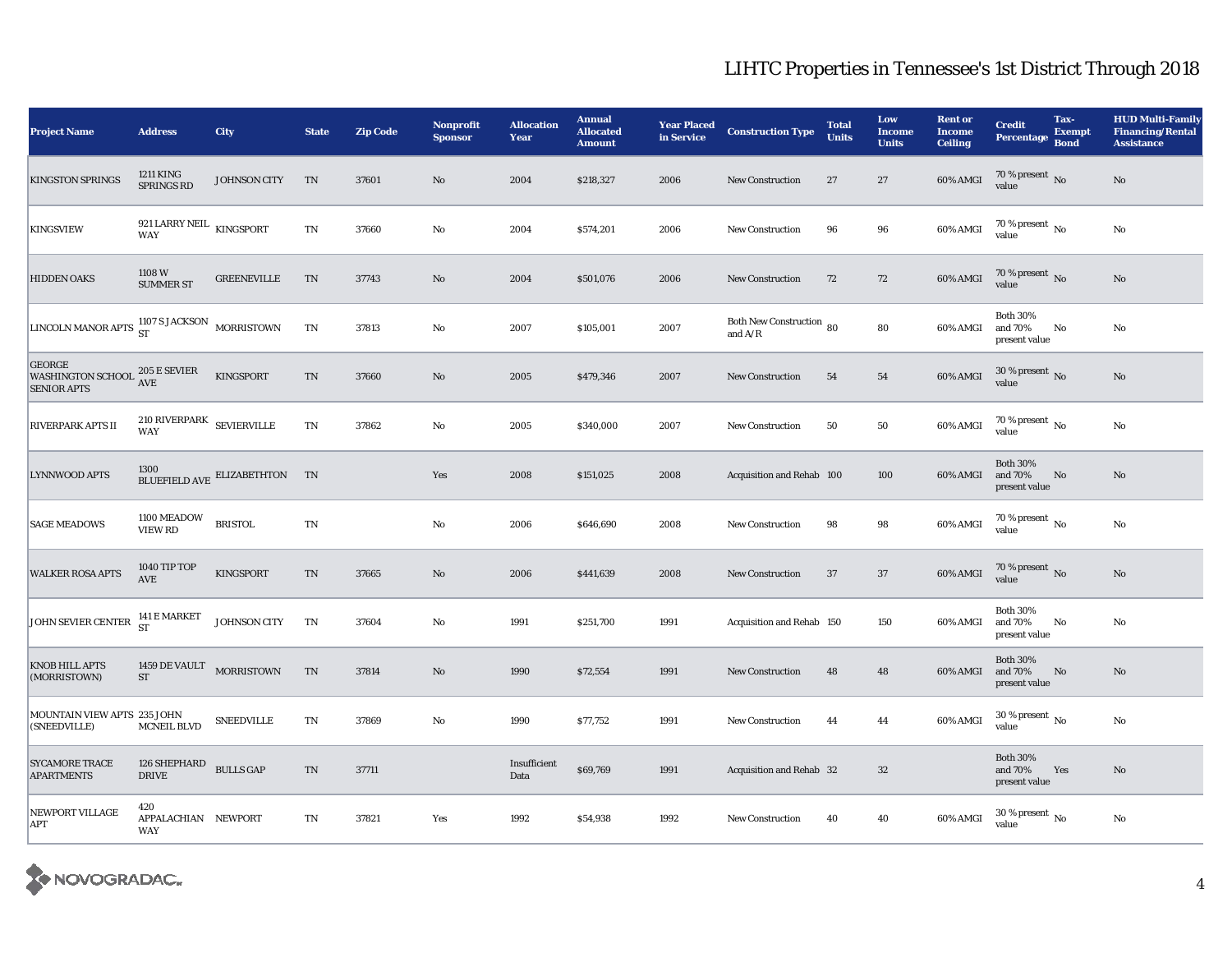| <b>Project Name</b>                                             | <b>Address</b>                                            | City                          | <b>State</b>               | <b>Zip Code</b> | <b>Nonprofit</b><br><b>Sponsor</b> | <b>Allocation</b><br>Year | <b>Annual</b><br><b>Allocated</b><br><b>Amount</b> | <b>Year Placed</b><br>in Service | <b>Construction Type</b>              | <b>Total</b><br><b>Units</b> | Low<br><b>Income</b><br><b>Units</b> | <b>Rent or</b><br><b>Income</b><br><b>Ceiling</b> | <b>Credit</b><br><b>Percentage</b>          | Tax-<br><b>Exempt</b><br><b>Bond</b> | <b>HUD Multi-Family</b><br><b>Financing/Rental</b><br><b>Assistance</b> |
|-----------------------------------------------------------------|-----------------------------------------------------------|-------------------------------|----------------------------|-----------------|------------------------------------|---------------------------|----------------------------------------------------|----------------------------------|---------------------------------------|------------------------------|--------------------------------------|---------------------------------------------------|---------------------------------------------|--------------------------------------|-------------------------------------------------------------------------|
| <b>KINGSTON SPRINGS</b>                                         | 1211 KING<br>SPRINGS RD                                   | JOHNSON CITY                  | TN                         | 37601           | $\rm No$                           | 2004                      | \$218,327                                          | 2006                             | New Construction                      | 27                           | $\bf 27$                             | $60\%$ AMGI                                       | 70 % present $\,$ No $\,$<br>value          |                                      | $\rm No$                                                                |
| <b>KINGSVIEW</b>                                                | 921 LARRY NEIL $_{\hbox{\small KINGSPORT}}$<br><b>WAY</b> |                               | $\rm TN$                   | 37660           | $\rm No$                           | 2004                      | \$574,201                                          | 2006                             | <b>New Construction</b>               | 96                           | 96                                   | 60% AMGI                                          | $70$ % present $\,$ No $\,$<br>value        |                                      | No                                                                      |
| <b>HIDDEN OAKS</b>                                              | 1108 W<br><b>SUMMER ST</b>                                | <b>GREENEVILLE</b>            | TN                         | 37743           | $\rm No$                           | 2004                      | \$501,076                                          | 2006                             | New Construction                      | 72                           | 72                                   | 60% AMGI                                          | 70 % present $\,$ No $\,$<br>value          |                                      | $\rm No$                                                                |
| LINCOLN MANOR APTS 1107 S JACKSON                               |                                                           | <b>MORRISTOWN</b>             | TN                         | 37813           | No                                 | 2007                      | \$105,001                                          | 2007                             | Both New Construction 80<br>and $A/R$ |                              | 80                                   | 60% AMGI                                          | <b>Both 30%</b><br>and 70%<br>present value | No                                   | No                                                                      |
| <b>GEORGE</b><br><b>WASHINGTON SCHOOL</b><br><b>SENIOR APTS</b> | 205 E SEVIER<br>AVE                                       | KINGSPORT                     | $\rm TN$                   | 37660           | $\mathbf{N}\mathbf{o}$             | 2005                      | \$479,346                                          | 2007                             | New Construction                      | 54                           | 54                                   | 60% AMGI                                          | 30 % present $\,$ No $\,$<br>value          |                                      | No                                                                      |
| <b>RIVERPARK APTS II</b>                                        | $210$ RIVERPARK $$\sf SEVIEWILLE$<br><b>WAY</b>           |                               | $\rm TN$                   | 37862           | No                                 | 2005                      | \$340,000                                          | 2007                             | <b>New Construction</b>               | 50                           | 50                                   | 60% AMGI                                          | 70 % present $\,$ No $\,$<br>value          |                                      | No                                                                      |
| <b>LYNNWOOD APTS</b>                                            |                                                           | BLUEFIELD AVE ELIZABETHTON TN |                            |                 | Yes                                | 2008                      | \$151,025                                          | 2008                             | Acquisition and Rehab 100             |                              | 100                                  | 60% AMGI                                          | <b>Both 30%</b><br>and 70%<br>present value | No                                   | No                                                                      |
| <b>SAGE MEADOWS</b>                                             | 1100 MEADOW<br><b>VIEW RD</b>                             | <b>BRISTOL</b>                | TN                         |                 | No                                 | 2006                      | \$646,690                                          | 2008                             | <b>New Construction</b>               | 98                           | 98                                   | 60% AMGI                                          | $70$ % present $\,$ No $\,$<br>value        |                                      | No                                                                      |
| <b>WALKER ROSA APTS</b>                                         | 1040 TIP TOP<br>AVE                                       | KINGSPORT                     | $\rm TN$                   | 37665           | $\mathbf{N}\mathbf{o}$             | 2006                      | \$441,639                                          | 2008                             | <b>New Construction</b>               | 37                           | $37\,$                               | 60% AMGI                                          | $70\,\%$ present $\,$ No value              |                                      | $\rm No$                                                                |
| JOHN SEVIER CENTER                                              | 141 E MARKET<br><b>ST</b>                                 | JOHNSON CITY                  | TN                         | 37604           | No                                 | 1991                      | \$251,700                                          | 1991                             | Acquisition and Rehab 150             |                              | 150                                  | 60% AMGI                                          | <b>Both 30%</b><br>and 70%<br>present value | No                                   | No                                                                      |
| <b>KNOB HILL APTS</b><br>(MORRISTOWN)                           | 1459 DE VAULT MORRISTOWN<br>ST                            |                               | $\mathop{\rm TN}\nolimits$ | 37814           | $\rm No$                           | 1990                      | \$72,554                                           | 1991                             | <b>New Construction</b>               | 48                           | 48                                   | 60% AMGI                                          | <b>Both 30%</b><br>and 70%<br>present value | No                                   | $\rm No$                                                                |
| MOUNTAIN VIEW APTS 235 JOHN<br>(SNEEDVILLE)                     | <b>MCNEIL BLVD</b>                                        | <b>SNEEDVILLE</b>             | $\mathop{\rm TN}\nolimits$ | 37869           | $\mathbf{N}\mathbf{o}$             | 1990                      | \$77,752                                           | 1991                             | <b>New Construction</b>               | 44                           | 44                                   | 60% AMGI                                          | 30 % present $\,$ No $\,$<br>value          |                                      | $\mathbf{N}\mathbf{o}$                                                  |
| <b>SYCAMORE TRACE</b><br><b>APARTMENTS</b>                      | 126 SHEPHARD<br><b>DRIVE</b>                              | <b>BULLS GAP</b>              | $\mathcal{T}\mathcal{N}$   | 37711           |                                    | Insufficient<br>Data      | \$69,769                                           | 1991                             | Acquisition and Rehab 32              |                              | $32\,$                               |                                                   | <b>Both 30%</b><br>and 70%<br>present value | Yes                                  | $\mathbf{N}\mathbf{o}$                                                  |
| NEWPORT VILLAGE<br><b>APT</b>                                   | 420<br>APPALACHIAN NEWPORT<br><b>WAY</b>                  |                               | TN                         | 37821           | Yes                                | 1992                      | \$54,938                                           | 1992                             | <b>New Construction</b>               | 40                           | 40                                   | 60% AMGI                                          | $30\,\%$ present $\,$ $_{\rm No}$<br>value  |                                      | No                                                                      |

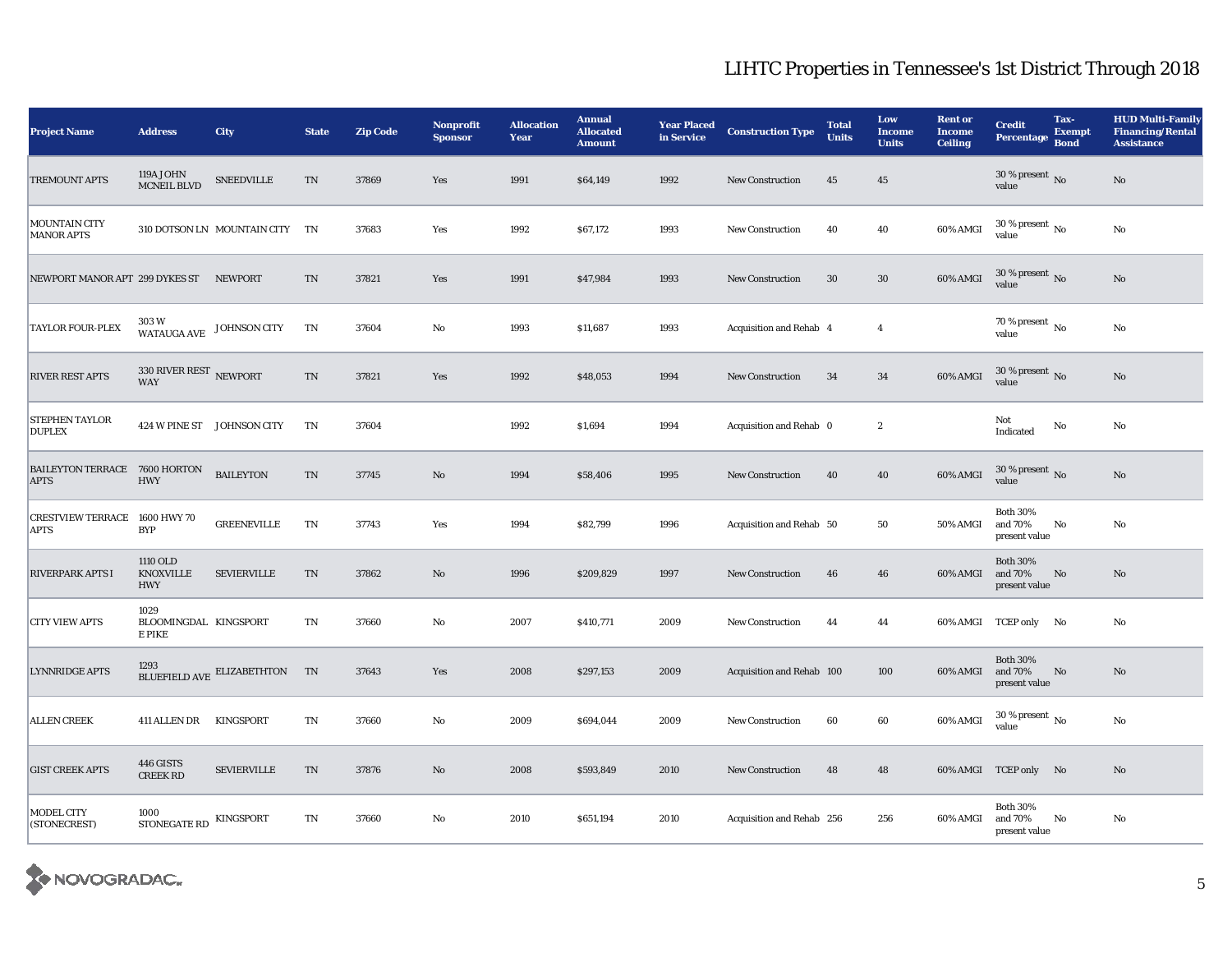| <b>Project Name</b>                          | <b>Address</b>                             | City                           | <b>State</b>             | <b>Zip Code</b> | <b>Nonprofit</b><br><b>Sponsor</b> | <b>Allocation</b><br>Year | <b>Annual</b><br><b>Allocated</b><br><b>Amount</b> | <b>Year Placed</b><br>in Service | <b>Construction Type</b>       | <b>Total</b><br><b>Units</b> | Low<br><b>Income</b><br><b>Units</b> | <b>Rent or</b><br><b>Income</b><br><b>Ceiling</b> | <b>Credit</b><br><b>Percentage</b>          | Tax-<br><b>Exempt</b><br><b>Bond</b> | <b>HUD Multi-Family</b><br><b>Financing/Rental</b><br><b>Assistance</b> |
|----------------------------------------------|--------------------------------------------|--------------------------------|--------------------------|-----------------|------------------------------------|---------------------------|----------------------------------------------------|----------------------------------|--------------------------------|------------------------------|--------------------------------------|---------------------------------------------------|---------------------------------------------|--------------------------------------|-------------------------------------------------------------------------|
| <b>TREMOUNT APTS</b>                         | 119A JOHN<br>MCNEIL BLVD                   | <b>SNEEDVILLE</b>              | TN                       | 37869           | Yes                                | 1991                      | \$64,149                                           | 1992                             | <b>New Construction</b>        | 45                           | $45\,$                               |                                                   | 30 % present $\,$ No $\,$<br>value          |                                      | $\rm No$                                                                |
| <b>MOUNTAIN CITY</b><br><b>MANOR APTS</b>    |                                            | 310 DOTSON LN MOUNTAIN CITY TN |                          | 37683           | Yes                                | 1992                      | \$67,172                                           | 1993                             | <b>New Construction</b>        | 40                           | 40                                   | 60% AMGI                                          | 30 % present $\,$ No $\,$<br>value          |                                      | $\rm No$                                                                |
| NEWPORT MANOR APT 299 DYKES ST NEWPORT       |                                            |                                | $\mathcal{T}\mathcal{N}$ | 37821           | Yes                                | 1991                      | \$47,984                                           | 1993                             | <b>New Construction</b>        | $30\,$                       | $30\,$                               | 60% AMGI                                          | $30$ % present $\,$ No $\,$<br>value        |                                      | $\rm No$                                                                |
| <b>TAYLOR FOUR-PLEX</b>                      | 303W                                       | WATAUGA AVE JOHNSON CITY       | TN                       | 37604           | $\mathbf{N}\mathbf{o}$             | 1993                      | \$11,687                                           | 1993                             | <b>Acquisition and Rehab 4</b> |                              | $\overline{4}$                       |                                                   | 70 % present $\,$ No $\,$<br>value          |                                      | $\rm No$                                                                |
| <b>RIVER REST APTS</b>                       | 330 RIVER REST NEWPORT<br><b>WAY</b>       |                                | $\rm TN$                 | 37821           | Yes                                | 1992                      | \$48,053                                           | 1994                             | New Construction               | 34                           | $\bf{34}$                            | 60% AMGI                                          | 30 % present $\,$ No $\,$<br>value          |                                      | $\rm No$                                                                |
| <b>STEPHEN TAYLOR</b><br><b>DUPLEX</b>       |                                            | 424 W PINE ST JOHNSON CITY     | TN                       | 37604           |                                    | 1992                      | \$1,694                                            | 1994                             | Acquisition and Rehab 0        |                              | $\boldsymbol{2}$                     |                                                   | Not<br>Indicated                            | $\rm No$                             | $\rm No$                                                                |
| BAILEYTON TERRACE 7600 HORTON<br><b>APTS</b> | <b>HWY</b>                                 | <b>BAILEYTON</b>               | TN                       | 37745           | No                                 | 1994                      | \$58,406                                           | 1995                             | <b>New Construction</b>        | 40                           | 40                                   | 60% AMGI                                          | 30 % present $\,$ No $\,$<br>value          |                                      | No                                                                      |
| <b>CRESTVIEW TERRACE</b><br><b>APTS</b>      | 1600 HWY 70<br><b>BYP</b>                  | <b>GREENEVILLE</b>             | TN                       | 37743           | Yes                                | 1994                      | \$82,799                                           | 1996                             | Acquisition and Rehab 50       |                              | 50                                   | <b>50% AMGI</b>                                   | <b>Both 30%</b><br>and 70%<br>present value | No                                   | No                                                                      |
| <b>RIVERPARK APTS I</b>                      | 1110 OLD<br><b>KNOXVILLE</b><br><b>HWY</b> | <b>SEVIERVILLE</b>             | $\mathcal{T}\mathcal{N}$ | 37862           | No                                 | 1996                      | \$209,829                                          | 1997                             | <b>New Construction</b>        | 46                           | 46                                   | 60% AMGI                                          | <b>Both 30%</b><br>and 70%<br>present value | No                                   | No                                                                      |
| <b>CITY VIEW APTS</b>                        | 1029<br>BLOOMINGDAL KINGSPORT<br>E PIKE    |                                | TN                       | 37660           | No                                 | 2007                      | \$410,771                                          | 2009                             | <b>New Construction</b>        | 44                           | 44                                   |                                                   | 60% AMGI TCEP only No                       |                                      | No                                                                      |
| <b>LYNNRIDGE APTS</b>                        |                                            | BLUEFIELD AVE ELIZABETHTON TN  |                          | 37643           | Yes                                | 2008                      | \$297,153                                          | 2009                             | Acquisition and Rehab 100      |                              | 100                                  | 60% AMGI                                          | <b>Both 30%</b><br>and 70%<br>present value | No                                   | No                                                                      |
| <b>ALLEN CREEK</b>                           | 411 ALLEN DR                               | KINGSPORT                      | $\mathbf{T}\mathbf{N}$   | 37660           | No                                 | 2009                      | \$694,044                                          | 2009                             | <b>New Construction</b>        | 60                           | 60                                   | 60% AMGI                                          | $30$ % present $\,$ No $\,$<br>value        |                                      | No                                                                      |
| <b>GIST CREEK APTS</b>                       | 446 GISTS<br><b>CREEK RD</b>               | <b>SEVIERVILLE</b>             | TN                       | 37876           | No                                 | 2008                      | \$593,849                                          | 2010                             | <b>New Construction</b>        | 48                           | 48                                   |                                                   | 60% AMGI TCEP only No                       |                                      | No                                                                      |
| MODEL CITY<br>(STONECREST)                   | 1000<br><b>STONEGATE RD</b>                | KINGSPORT                      | $\mathbf{T}\mathbf{N}$   | 37660           | No                                 | 2010                      | \$651,194                                          | 2010                             | Acquisition and Rehab 256      |                              | 256                                  | 60% AMGI                                          | <b>Both 30%</b><br>and 70%<br>present value | No                                   | No                                                                      |

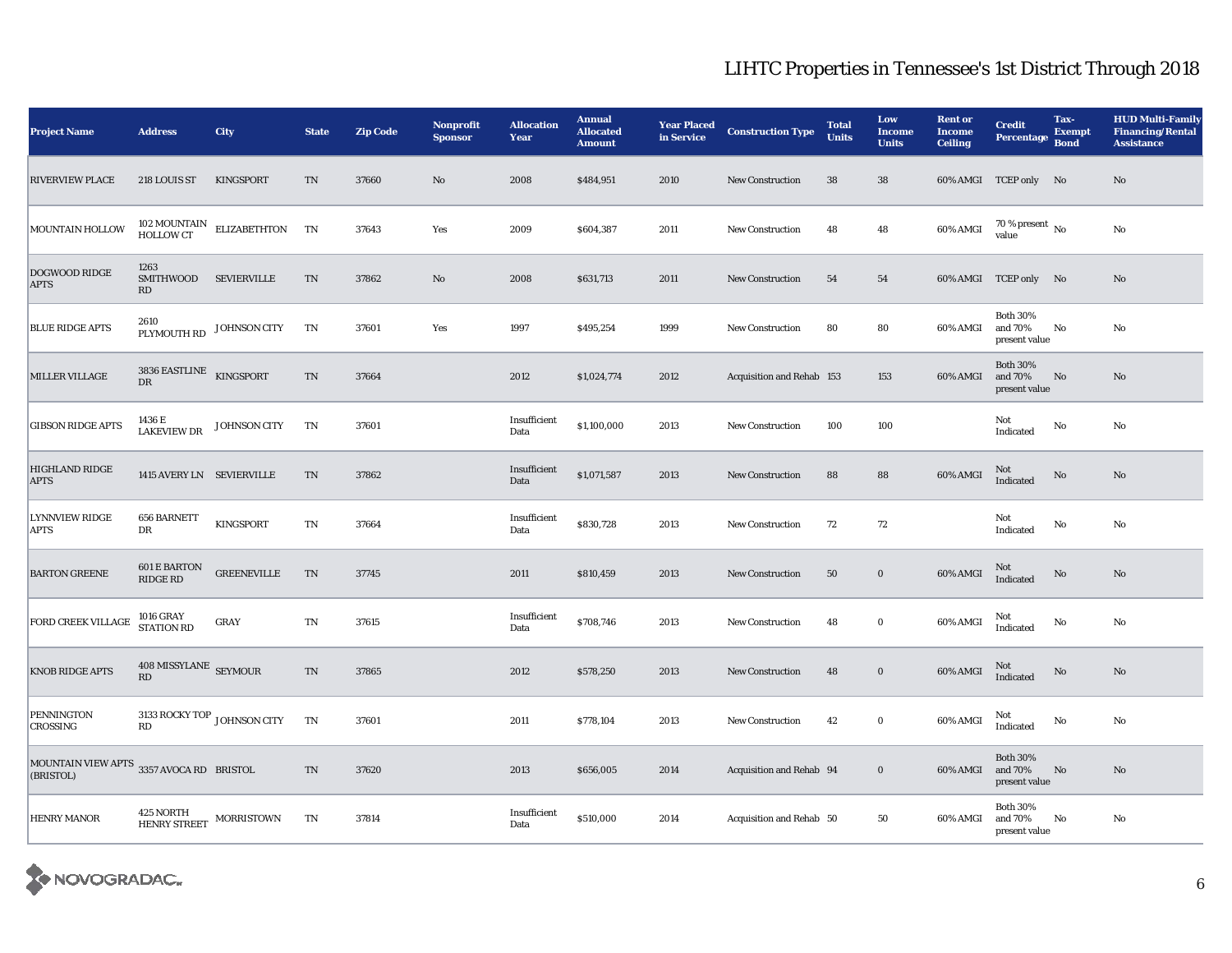| <b>Project Name</b>                                   | <b>Address</b>                                  | City                                                     | <b>State</b>               | <b>Zip Code</b> | <b>Nonprofit</b><br><b>Sponsor</b> | <b>Allocation</b><br><b>Year</b> | <b>Annual</b><br><b>Allocated</b><br><b>Amount</b> | <b>Year Placed</b><br>in Service | <b>Construction Type</b>  | <b>Total</b><br><b>Units</b> | Low<br><b>Income</b><br><b>Units</b> | <b>Rent or</b><br><b>Income</b><br><b>Ceiling</b> | <b>Credit</b><br><b>Percentage</b>          | Tax-<br><b>Exempt</b><br><b>Bond</b> | <b>HUD Multi-Family</b><br><b>Financing/Rental</b><br><b>Assistance</b> |
|-------------------------------------------------------|-------------------------------------------------|----------------------------------------------------------|----------------------------|-----------------|------------------------------------|----------------------------------|----------------------------------------------------|----------------------------------|---------------------------|------------------------------|--------------------------------------|---------------------------------------------------|---------------------------------------------|--------------------------------------|-------------------------------------------------------------------------|
| <b>RIVERVIEW PLACE</b>                                | 218 LOUIS ST                                    | KINGSPORT                                                | TN                         | 37660           | No                                 | 2008                             | \$484,951                                          | 2010                             | <b>New Construction</b>   | 38                           | 38                                   |                                                   | 60% AMGI TCEP only No                       |                                      | No                                                                      |
| MOUNTAIN HOLLOW                                       |                                                 | $102$ MOUNTAIN $\quad$ ELIZABETHTON $\quad$ TN HOLLOW CT |                            | 37643           | Yes                                | 2009                             | \$604,387                                          | 2011                             | <b>New Construction</b>   | 48                           | 48                                   | 60% AMGI                                          | $70\,\%$ present $_{\rm{No}}$               |                                      | $\rm No$                                                                |
| DOGWOOD RIDGE<br><b>APTS</b>                          | 1263<br><b>SMITHWOOD</b><br>RD                  | <b>SEVIERVILLE</b>                                       | $\mathop{\rm TN}\nolimits$ | 37862           | $\mathbf{No}$                      | 2008                             | \$631,713                                          | 2011                             | <b>New Construction</b>   | 54                           | 54                                   |                                                   | 60% AMGI TCEP only No                       |                                      | $\mathbf{N}\mathbf{o}$                                                  |
| <b>BLUE RIDGE APTS</b>                                | 2610<br>PLYMOUTH RD JOHNSON CITY                |                                                          | TN                         | 37601           | Yes                                | 1997                             | \$495,254                                          | 1999                             | <b>New Construction</b>   | 80                           | 80                                   | 60% AMGI                                          | Both 30%<br>and 70%<br>present value        | No                                   | $\rm No$                                                                |
| MILLER VILLAGE                                        | 3836 EASTLINE $$\,{\rm KINGSPORT}$$<br>DR       |                                                          | TN                         | 37664           |                                    | 2012                             | \$1,024,774                                        | 2012                             | Acquisition and Rehab 153 |                              | 153                                  | 60% AMGI                                          | <b>Both 30%</b><br>and 70%<br>present value | No                                   | No                                                                      |
| <b>GIBSON RIDGE APTS</b>                              | 1436 E<br><b>LAKEVIEW DR</b>                    | JOHNSON CITY                                             | TN                         | 37601           |                                    | Insufficient<br>Data             | \$1,100,000                                        | 2013                             | <b>New Construction</b>   | 100                          | 100                                  |                                                   | Not<br>Indicated                            | $\rm No$                             | $\rm No$                                                                |
| HIGHLAND RIDGE<br><b>APTS</b>                         | 1415 AVERY LN SEVIERVILLE                       |                                                          | TN                         | 37862           |                                    | Insufficient<br>Data             | \$1,071,587                                        | 2013                             | <b>New Construction</b>   | 88                           | 88                                   | 60% AMGI                                          | Not<br>Indicated                            | No                                   | $\rm No$                                                                |
| <b>LYNNVIEW RIDGE</b><br><b>APTS</b>                  | 656 BARNETT<br>DR                               | <b>KINGSPORT</b>                                         | TN                         | 37664           |                                    | Insufficient<br>Data             | \$830,728                                          | 2013                             | <b>New Construction</b>   | 72                           | $72\,$                               |                                                   | Not<br>Indicated                            | $\rm No$                             | $\rm No$                                                                |
| <b>BARTON GREENE</b>                                  | <b>601 E BARTON</b><br><b>RIDGE RD</b>          | <b>GREENEVILLE</b>                                       | TN                         | 37745           |                                    | 2011                             | \$810,459                                          | 2013                             | <b>New Construction</b>   | 50                           | $\bf{0}$                             | 60% AMGI                                          | Not<br>Indicated                            | No                                   | $\rm No$                                                                |
| FORD CREEK VILLAGE                                    | 1016 GRAY<br>STATION RD                         | GRAY                                                     | TN                         | 37615           |                                    | Insufficient<br>Data             | \$708,746                                          | 2013                             | <b>New Construction</b>   | 48                           | $\mathbf 0$                          | 60% AMGI                                          | Not<br>Indicated                            | $\rm No$                             | $\rm No$                                                                |
| <b>KNOB RIDGE APTS</b>                                | 408 MISSYLANE SEYMOUR<br>$\mathbf{R}\mathbf{D}$ |                                                          | TN                         | 37865           |                                    | 2012                             | \$578,250                                          | 2013                             | <b>New Construction</b>   | 48                           | $\boldsymbol{0}$                     | 60% AMGI                                          | Not<br>Indicated                            | No                                   | $\rm No$                                                                |
| <b>PENNINGTON</b><br><b>CROSSING</b>                  | 3133 ROCKY TOP $_{\rm JOHNSON}$ CITY<br>RD      |                                                          | TN                         | 37601           |                                    | 2011                             | \$778,104                                          | 2013                             | <b>New Construction</b>   | 42                           | $\bf{0}$                             | 60% AMGI                                          | Not<br>Indicated                            | No                                   | No                                                                      |
| MOUNTAIN VIEW APTS 3357 AVOCA RD BRISTOL<br>(BRISTOL) |                                                 |                                                          | TN                         | 37620           |                                    | 2013                             | \$656,005                                          | 2014                             | Acquisition and Rehab 94  |                              | $\bf{0}$                             | 60% AMGI                                          | <b>Both 30%</b><br>and 70%<br>present value | No                                   | $\rm No$                                                                |
| <b>HENRY MANOR</b>                                    | HENRY STREET MORRISTOWN                         |                                                          | TN                         | 37814           |                                    | Insufficient<br>Data             | \$510,000                                          | 2014                             | Acquisition and Rehab 50  |                              | 50                                   | 60% AMGI                                          | <b>Both 30%</b><br>and 70%<br>present value | No                                   | No                                                                      |